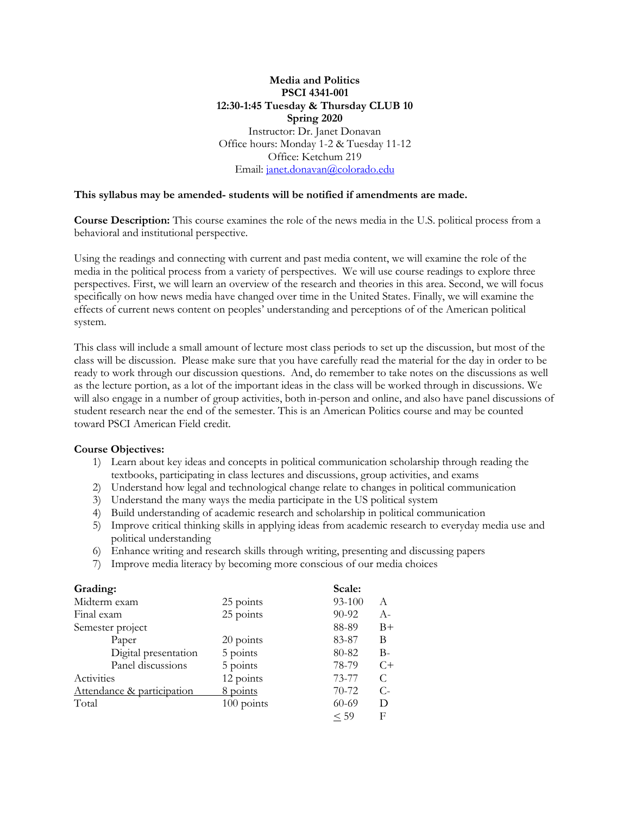# **Media and Politics PSCI 4341-001 12:30-1:45 Tuesday & Thursday CLUB 10 Spring 2020** Instructor: Dr. Janet Donavan Office hours: Monday 1-2 & Tuesday 11-12 Office: Ketchum 219 Email: [janet.donavan@colorado.edu](mailto:janet.donavan@colorado.edu)

# **This syllabus may be amended- students will be notified if amendments are made.**

**Course Description:** This course examines the role of the news media in the U.S. political process from a behavioral and institutional perspective.

Using the readings and connecting with current and past media content, we will examine the role of the media in the political process from a variety of perspectives. We will use course readings to explore three perspectives. First, we will learn an overview of the research and theories in this area. Second, we will focus specifically on how news media have changed over time in the United States. Finally, we will examine the effects of current news content on peoples' understanding and perceptions of of the American political system.

This class will include a small amount of lecture most class periods to set up the discussion, but most of the class will be discussion. Please make sure that you have carefully read the material for the day in order to be ready to work through our discussion questions. And, do remember to take notes on the discussions as well as the lecture portion, as a lot of the important ideas in the class will be worked through in discussions. We will also engage in a number of group activities, both in-person and online, and also have panel discussions of student research near the end of the semester. This is an American Politics course and may be counted toward PSCI American Field credit.

# **Course Objectives:**

- 1) Learn about key ideas and concepts in political communication scholarship through reading the textbooks, participating in class lectures and discussions, group activities, and exams
- 2) Understand how legal and technological change relate to changes in political communication
- 3) Understand the many ways the media participate in the US political system
- 4) Build understanding of academic research and scholarship in political communication
- 5) Improve critical thinking skills in applying ideas from academic research to everyday media use and political understanding
- 6) Enhance writing and research skills through writing, presenting and discussing papers
- 7) Improve media literacy by becoming more conscious of our media choices

| Grading:                   |            | Scale:    |       |
|----------------------------|------------|-----------|-------|
| Midterm exam               | 25 points  | 93-100    | A     |
| Final exam                 | 25 points  | 90-92     | $A -$ |
| Semester project           |            | 88-89     | $B+$  |
| Paper                      | 20 points  | 83-87     | B     |
| Digital presentation       | 5 points   | 80-82     | $B-$  |
| Panel discussions          | 5 points   | 78-79     | $C+$  |
| Activities                 | 12 points  | 73-77     | C     |
| Attendance & participation | 8 points   | $70 - 72$ | $C$ - |
| Total                      | 100 points | $60 - 69$ | D     |
|                            |            | < 59      | F     |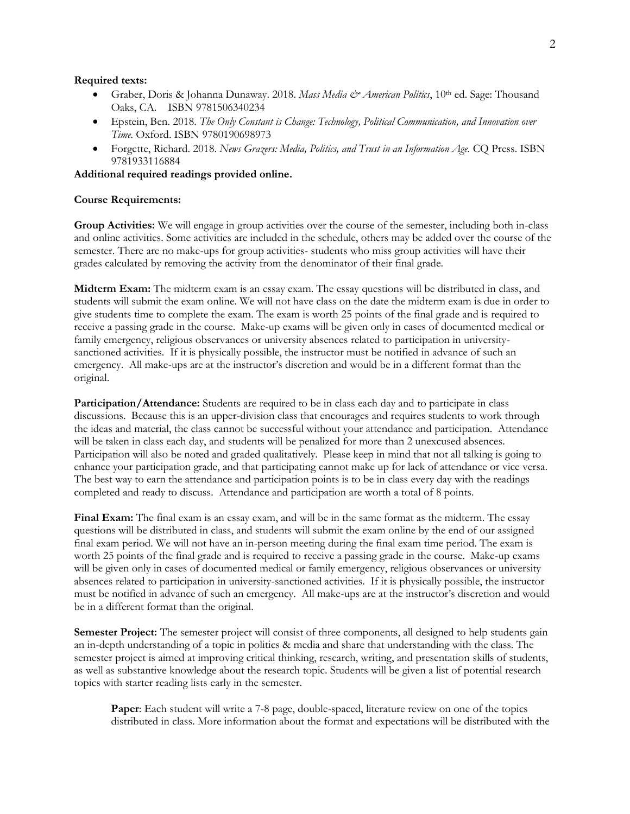#### **Required texts:**

- Graber, Doris & Johanna Dunaway. 2018. *Mass Media & American Politics*, 10th ed. Sage: Thousand Oaks, CA. ISBN 9781506340234
- Epstein, Ben. 2018. *The Only Constant is Change: Technology, Political Communication, and Innovation over Time.* Oxford. ISBN 9780190698973
- Forgette, Richard. 2018. *News Grazers: Media, Politics, and Trust in an Information Age.* CQ Press. ISBN 9781933116884

**Additional required readings provided online.**

#### **Course Requirements:**

**Group Activities:** We will engage in group activities over the course of the semester, including both in-class and online activities. Some activities are included in the schedule, others may be added over the course of the semester. There are no make-ups for group activities- students who miss group activities will have their grades calculated by removing the activity from the denominator of their final grade.

**Midterm Exam:** The midterm exam is an essay exam. The essay questions will be distributed in class, and students will submit the exam online. We will not have class on the date the midterm exam is due in order to give students time to complete the exam. The exam is worth 25 points of the final grade and is required to receive a passing grade in the course. Make-up exams will be given only in cases of documented medical or family emergency, religious observances or university absences related to participation in universitysanctioned activities. If it is physically possible, the instructor must be notified in advance of such an emergency. All make-ups are at the instructor's discretion and would be in a different format than the original.

**Participation/Attendance:** Students are required to be in class each day and to participate in class discussions. Because this is an upper-division class that encourages and requires students to work through the ideas and material, the class cannot be successful without your attendance and participation. Attendance will be taken in class each day, and students will be penalized for more than 2 unexcused absences. Participation will also be noted and graded qualitatively. Please keep in mind that not all talking is going to enhance your participation grade, and that participating cannot make up for lack of attendance or vice versa. The best way to earn the attendance and participation points is to be in class every day with the readings completed and ready to discuss. Attendance and participation are worth a total of 8 points.

**Final Exam:** The final exam is an essay exam, and will be in the same format as the midterm. The essay questions will be distributed in class, and students will submit the exam online by the end of our assigned final exam period. We will not have an in-person meeting during the final exam time period. The exam is worth 25 points of the final grade and is required to receive a passing grade in the course. Make-up exams will be given only in cases of documented medical or family emergency, religious observances or university absences related to participation in university-sanctioned activities. If it is physically possible, the instructor must be notified in advance of such an emergency. All make-ups are at the instructor's discretion and would be in a different format than the original.

**Semester Project:** The semester project will consist of three components, all designed to help students gain an in-depth understanding of a topic in politics & media and share that understanding with the class. The semester project is aimed at improving critical thinking, research, writing, and presentation skills of students, as well as substantive knowledge about the research topic. Students will be given a list of potential research topics with starter reading lists early in the semester.

**Paper**: Each student will write a 7-8 page, double-spaced, literature review on one of the topics distributed in class. More information about the format and expectations will be distributed with the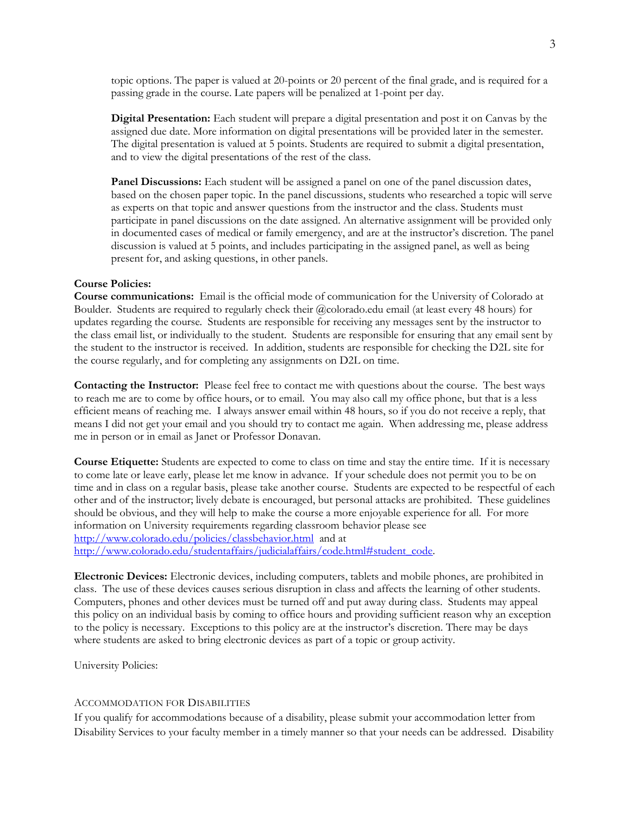topic options. The paper is valued at 20-points or 20 percent of the final grade, and is required for a passing grade in the course. Late papers will be penalized at 1-point per day.

**Digital Presentation:** Each student will prepare a digital presentation and post it on Canvas by the assigned due date. More information on digital presentations will be provided later in the semester. The digital presentation is valued at 5 points. Students are required to submit a digital presentation, and to view the digital presentations of the rest of the class.

**Panel Discussions:** Each student will be assigned a panel on one of the panel discussion dates, based on the chosen paper topic. In the panel discussions, students who researched a topic will serve as experts on that topic and answer questions from the instructor and the class. Students must participate in panel discussions on the date assigned. An alternative assignment will be provided only in documented cases of medical or family emergency, and are at the instructor's discretion. The panel discussion is valued at 5 points, and includes participating in the assigned panel, as well as being present for, and asking questions, in other panels.

# **Course Policies:**

**Course communications:** Email is the official mode of communication for the University of Colorado at Boulder. Students are required to regularly check their @colorado.edu email (at least every 48 hours) for updates regarding the course. Students are responsible for receiving any messages sent by the instructor to the class email list, or individually to the student. Students are responsible for ensuring that any email sent by the student to the instructor is received. In addition, students are responsible for checking the D2L site for the course regularly, and for completing any assignments on D2L on time.

**Contacting the Instructor:** Please feel free to contact me with questions about the course. The best ways to reach me are to come by office hours, or to email. You may also call my office phone, but that is a less efficient means of reaching me. I always answer email within 48 hours, so if you do not receive a reply, that means I did not get your email and you should try to contact me again. When addressing me, please address me in person or in email as Janet or Professor Donavan.

**Course Etiquette:** Students are expected to come to class on time and stay the entire time. If it is necessary to come late or leave early, please let me know in advance. If your schedule does not permit you to be on time and in class on a regular basis, please take another course. Students are expected to be respectful of each other and of the instructor; lively debate is encouraged, but personal attacks are prohibited. These guidelines should be obvious, and they will help to make the course a more enjoyable experience for all. For more information on University requirements regarding classroom behavior please see <http://www.colorado.edu/policies/classbehavior.html>and at [http://www.colorado.edu/studentaffairs/judicialaffairs/code.html#student\\_code.](http://www.colorado.edu/studentaffairs/judicialaffairs/code.html#student_code)

**Electronic Devices:** Electronic devices, including computers, tablets and mobile phones, are prohibited in class. The use of these devices causes serious disruption in class and affects the learning of other students. Computers, phones and other devices must be turned off and put away during class. Students may appeal this policy on an individual basis by coming to office hours and providing sufficient reason why an exception to the policy is necessary. Exceptions to this policy are at the instructor's discretion. There may be days where students are asked to bring electronic devices as part of a topic or group activity.

University Policies:

#### ACCOMMODATION FOR DISABILITIES

If you qualify for accommodations because of a disability, please submit your accommodation letter from Disability Services to your faculty member in a timely manner so that your needs can be addressed. Disability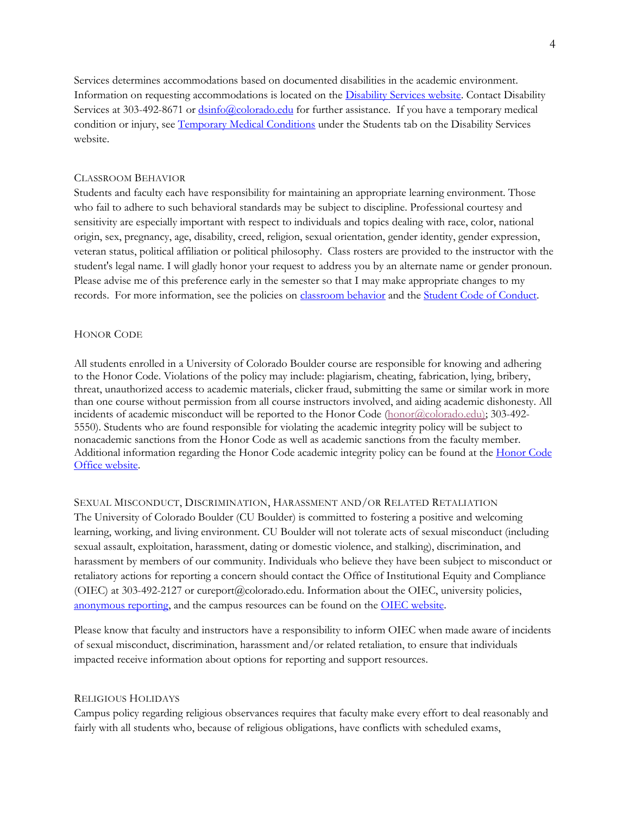Services determines accommodations based on documented disabilities in the academic environment. Information on requesting accommodations is located on th[e Disability Services website.](http://www.colorado.edu/disabilityservices/students) Contact Disability Services at 303-492-8671 or  $\frac{dsinfo(\omega) \cdot \text{colorado.edu}}{\text{colorado.edu}}$  for further assistance. If you have a temporary medical condition or injury, see [Temporary Medical Conditions](http://www.colorado.edu/disabilityservices/students/temporary-medical-conditions) under the Students tab on the Disability Services website.

#### CLASSROOM BEHAVIOR

Students and faculty each have responsibility for maintaining an appropriate learning environment. Those who fail to adhere to such behavioral standards may be subject to discipline. Professional courtesy and sensitivity are especially important with respect to individuals and topics dealing with race, color, national origin, sex, pregnancy, age, disability, creed, religion, sexual orientation, gender identity, gender expression, veteran status, political affiliation or political philosophy. Class rosters are provided to the instructor with the student's legal name. I will gladly honor your request to address you by an alternate name or gender pronoun. Please advise me of this preference early in the semester so that I may make appropriate changes to my records. For more information, see the policies on [classroom behavior](http://www.colorado.edu/policies/student-classroom-and-course-related-behavior) and the [Student Code of Conduct.](http://www.colorado.edu/osccr/)

### HONOR CODE

All students enrolled in a University of Colorado Boulder course are responsible for knowing and adhering to the Honor Code. Violations of the policy may include: plagiarism, cheating, fabrication, lying, bribery, threat, unauthorized access to academic materials, clicker fraud, submitting the same or similar work in more than one course without permission from all course instructors involved, and aiding academic dishonesty. All incidents of academic misconduct will be reported to the Honor Code [\(honor@colorado.edu\)](mailto:honor@colorado.edu); 303-492- 5550). Students who are found responsible for violating the academic integrity policy will be subject to nonacademic sanctions from the Honor Code as well as academic sanctions from the faculty member. Additional information regarding the Honor Code academic integrity policy can be found at the [Honor Code](https://www.colorado.edu/osccr/honor-code)  [Office website.](https://www.colorado.edu/osccr/honor-code)

#### SEXUAL MISCONDUCT, DISCRIMINATION, HARASSMENT AND/OR RELATED RETALIATION

The University of Colorado Boulder (CU Boulder) is committed to fostering a positive and welcoming learning, working, and living environment. CU Boulder will not tolerate acts of sexual misconduct (including sexual assault, exploitation, harassment, dating or domestic violence, and stalking), discrimination, and harassment by members of our community. Individuals who believe they have been subject to misconduct or retaliatory actions for reporting a concern should contact the Office of Institutional Equity and Compliance (OIEC) at 303-492-2127 or cureport@colorado.edu. Information about the OIEC, university policies, [anonymous reporting,](https://cuboulder.qualtrics.com/jfe/form/SV_0PnqVK4kkIJIZnf) and the campus resources can be found on the [OIEC website.](http://www.colorado.edu/institutionalequity/)

Please know that faculty and instructors have a responsibility to inform OIEC when made aware of incidents of sexual misconduct, discrimination, harassment and/or related retaliation, to ensure that individuals impacted receive information about options for reporting and support resources.

# RELIGIOUS HOLIDAYS

Campus policy regarding religious observances requires that faculty make every effort to deal reasonably and fairly with all students who, because of religious obligations, have conflicts with scheduled exams,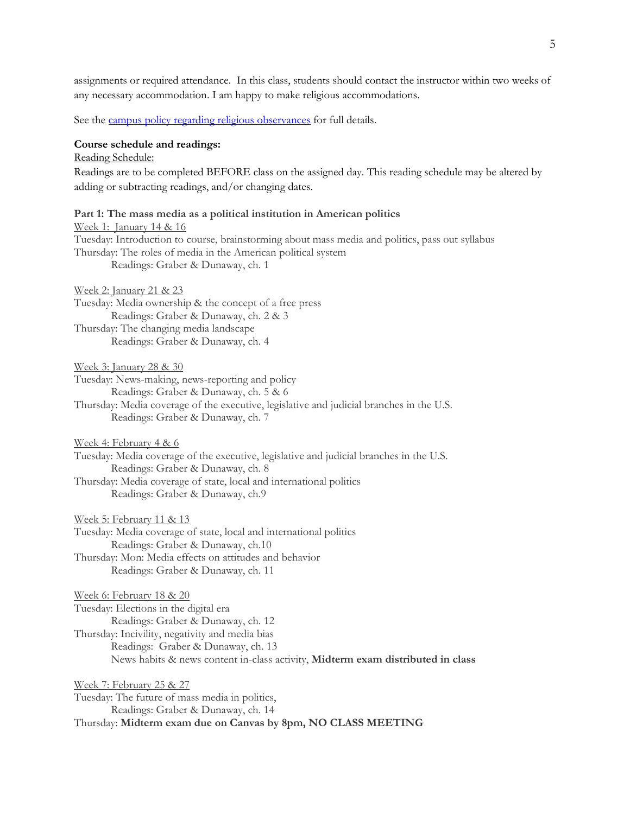assignments or required attendance. In this class, students should contact the instructor within two weeks of any necessary accommodation. I am happy to make religious accommodations.

See the *campus policy regarding religious observances* for full details.

# **Course schedule and readings:**

# Reading Schedule:

Readings are to be completed BEFORE class on the assigned day. This reading schedule may be altered by adding or subtracting readings, and/or changing dates.

### **Part 1: The mass media as a political institution in American politics**

| <u>Week 1: January 14 &amp; 16</u>                                                              |
|-------------------------------------------------------------------------------------------------|
| Tuesday: Introduction to course, brainstorming about mass media and politics, pass out syllabus |
| Thursday: The roles of media in the American political system                                   |
| Readings: Graber & Dunaway, ch. 1                                                               |
|                                                                                                 |
| <u>Week 2: January 21 &amp; 23</u>                                                              |
| Tuesday: Media ownership & the concept of a free press                                          |
| Readings: Graber & Dunaway, ch. 2 & 3                                                           |
| Thursday: The changing media landscape                                                          |
| Readings: Graber & Dunaway, ch. 4                                                               |
| <u>Week 3: January 28 &amp; 30</u>                                                              |
| Tuesday: News-making, news-reporting and policy                                                 |
| Readings: Graber & Dunaway, ch. 5 & 6                                                           |
| Thursday: Media coverage of the executive, legislative and judicial branches in the U.S.        |
| Readings: Graber & Dunaway, ch. 7                                                               |
| Week 4: February 4 & 6                                                                          |
| Tuesday: Media coverage of the executive, legislative and judicial branches in the U.S.         |
| Readings: Graber & Dunaway, ch. 8                                                               |
| Thursday: Media coverage of state, local and international politics                             |
| Readings: Graber & Dunaway, ch.9                                                                |
| <u>Week 5: February 11 &amp; 13</u>                                                             |
| Tuesday: Media coverage of state, local and international politics                              |
| Readings: Graber & Dunaway, ch.10                                                               |
| Thursday: Mon: Media effects on attitudes and behavior                                          |
| Readings: Graber & Dunaway, ch. 11                                                              |
| <u>Week 6: February 18 &amp; 20</u>                                                             |
| Tuesday: Elections in the digital era                                                           |
| Readings: Graber & Dunaway, ch. 12                                                              |
| Thursday: Incivility, negativity and media bias                                                 |
| Readings: Graber & Dunaway, ch. 13                                                              |
| News habits & news content in-class activity, Midterm exam distributed in class                 |
| <u>Week 7: February 25 &amp; 27</u>                                                             |
| Tuesday: The future of mass media in politics,                                                  |
| Readings: Graber & Dunaway, ch. 14                                                              |
| Thursday: Midterm exam due on Canvas by 8pm, NO CLASS MEETING                                   |